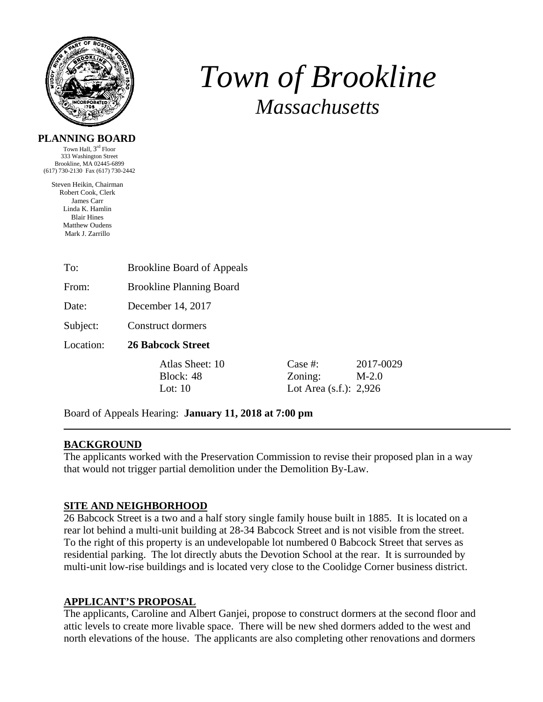

## *Town of Brookline Massachusetts*

2017-0029

#### **PLANNING BOARD**

Town Hall,  $3^{\rm rd}$  Floor 333 Washington Street Brookline, MA 02445-6899 (617) 730-2130 Fax (617) 730-2442

Steven Heikin, Chairman Robert Cook, Clerk James Carr Linda K. Hamlin Blair Hines Matthew Oudens Mark J. Zarrillo

| To:       | <b>Brookline Board of Appeals</b>         |                                                 |                       |
|-----------|-------------------------------------------|-------------------------------------------------|-----------------------|
| From:     | <b>Brookline Planning Board</b>           |                                                 |                       |
| Date:     | December 14, 2017                         |                                                 |                       |
| Subject:  | Construct dormers                         |                                                 |                       |
| Location: | <b>26 Babcock Street</b>                  |                                                 |                       |
|           | Atlas Sheet: 10<br>Block: 48<br>Lot: $10$ | Case #:<br>Zoning:<br>Lot Area $(s.f.)$ : 2,926 | $2017 - C$<br>$M-2.0$ |

Board of Appeals Hearing: **January 11, 2018 at 7:00 pm**

### **BACKGROUND**

The applicants worked with the Preservation Commission to revise their proposed plan in a way that would not trigger partial demolition under the Demolition By-Law.

#### **SITE AND NEIGHBORHOOD**

26 Babcock Street is a two and a half story single family house built in 1885. It is located on a rear lot behind a multi-unit building at 28-34 Babcock Street and is not visible from the street. To the right of this property is an undevelopable lot numbered 0 Babcock Street that serves as residential parking. The lot directly abuts the Devotion School at the rear. It is surrounded by multi-unit low-rise buildings and is located very close to the Coolidge Corner business district.

#### **APPLICANT'S PROPOSAL**

The applicants, Caroline and Albert Ganjei, propose to construct dormers at the second floor and attic levels to create more livable space. There will be new shed dormers added to the west and north elevations of the house. The applicants are also completing other renovations and dormers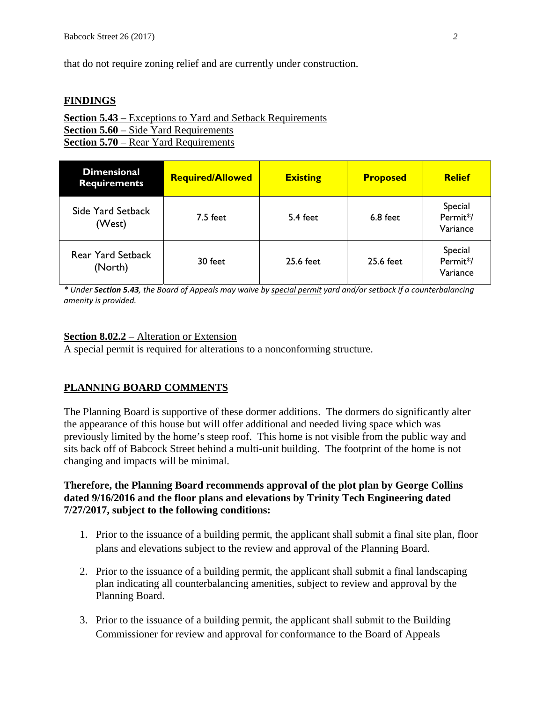that do not require zoning relief and are currently under construction.

#### **FINDINGS**

**Section 5.43** – Exceptions to Yard and Setback Requirements **Section 5.60** – Side Yard Requirements **Section 5.70** – Rear Yard Requirements

| <b>Dimensional</b><br><b>Requirements</b> | <b>Required/Allowed</b> | <b>Existing</b> | <b>Proposed</b> | <b>Relief</b>                   |
|-------------------------------------------|-------------------------|-----------------|-----------------|---------------------------------|
| Side Yard Setback<br>(West)               | $7.5$ feet              | 5.4 feet        | 6.8 feet        | Special<br>Permit*/<br>Variance |
| <b>Rear Yard Setback</b><br>(North)       | 30 feet                 | 25.6 feet       | 25.6 feet       | Special<br>Permit*/<br>Variance |

\* Under Section 5.43, the Board of Appeals may waive by special permit yard and/or setback if a counterbalancing *amenity is provided.*

#### **Section 8.02.2** – Alteration or Extension

A special permit is required for alterations to a nonconforming structure.

#### **PLANNING BOARD COMMENTS**

The Planning Board is supportive of these dormer additions. The dormers do significantly alter the appearance of this house but will offer additional and needed living space which was previously limited by the home's steep roof. This home is not visible from the public way and sits back off of Babcock Street behind a multi-unit building. The footprint of the home is not changing and impacts will be minimal.

#### **Therefore, the Planning Board recommends approval of the plot plan by George Collins dated 9/16/2016 and the floor plans and elevations by Trinity Tech Engineering dated 7/27/2017, subject to the following conditions:**

- 1. Prior to the issuance of a building permit, the applicant shall submit a final site plan, floor plans and elevations subject to the review and approval of the Planning Board.
- 2. Prior to the issuance of a building permit, the applicant shall submit a final landscaping plan indicating all counterbalancing amenities, subject to review and approval by the Planning Board.
- 3. Prior to the issuance of a building permit, the applicant shall submit to the Building Commissioner for review and approval for conformance to the Board of Appeals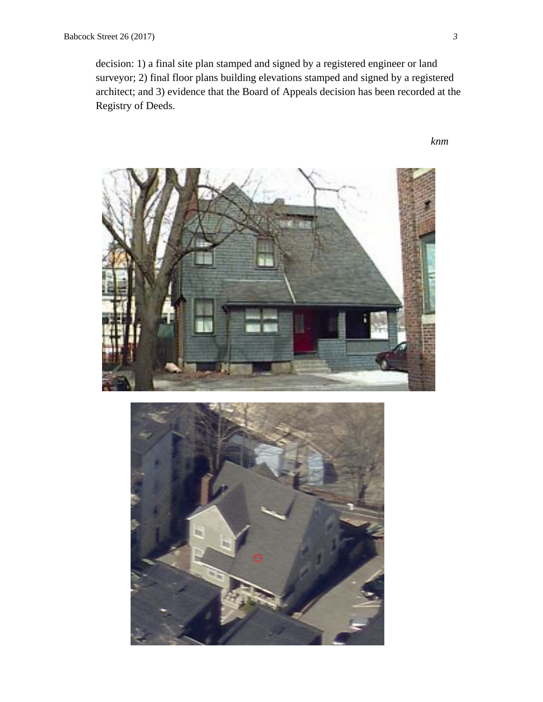decision: 1) a final site plan stamped and signed by a registered engineer or land surveyor; 2) final floor plans building elevations stamped and signed by a registered architect; and 3) evidence that the Board of Appeals decision has been recorded at the Registry of Deeds.

 *knm* 



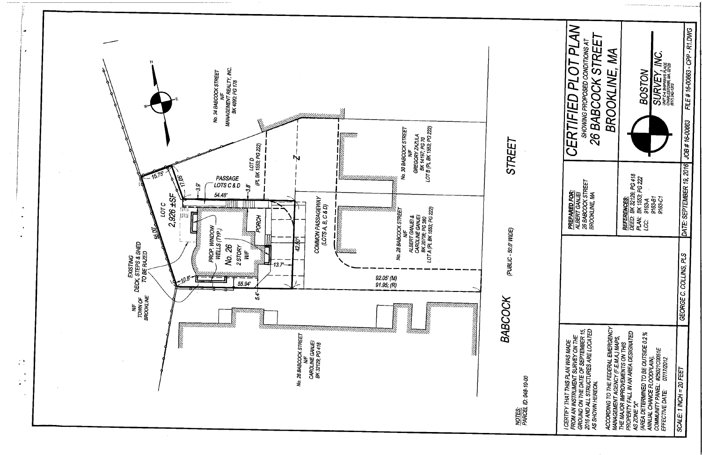

| CERTIFIED PLOT PLAN<br>26 BABCOCK STREET<br>SHOWING PROPOSED CONDITIONS AT<br>BROOKLINE, MA                                                                                                                                                         | SURVEY, INC.<br>UNIT C-4 SHIPWAYS PLACE<br>CHARLESTOWN, MA, 02129<br>(617) 242-1313<br><b>BOSTON</b>                                                                                                                      | FILE # 16-00663 - CPP - R1.DWG          |  |
|-----------------------------------------------------------------------------------------------------------------------------------------------------------------------------------------------------------------------------------------------------|---------------------------------------------------------------------------------------------------------------------------------------------------------------------------------------------------------------------------|-----------------------------------------|--|
| 26 BABCOCK STREET<br>PREPARED FOR:<br>ALBERT GANJEJ<br>BROOKLINE, MA                                                                                                                                                                                | DEED: BK 32129; PG 418<br>PLAN: BK 1553; PG 222<br>REFERENCES:<br>9163-B1<br>9163-C1<br>9163-A<br>ري<br>پ                                                                                                                 | DATE: SEPTEMBER 19, 2016 JOB # 16-00663 |  |
|                                                                                                                                                                                                                                                     |                                                                                                                                                                                                                           | GEORGE C. COLLINS, PLS                  |  |
| ACCORDING TO THE FEDERAL EMERGENCY<br>GROUND ON THE DATE OF SEPTEMBER 15,<br>2016 AND ALL STRUCTURES ARE LOCATED<br>FROM AN INSTRUMENT SURVEY ON THE<br>MANAGEMENT AGENCY (F.E.M.A.) MAPS,<br>I CERTIFY THAT THIS PLAN WAS MADE<br>AS SHOWN HEREON. | PROPERTY FALL IN AN AREA DESIGNATED<br>(AREA DETERMINED TO BE OUTSIDE 0.2 %<br>THE MAJOR IMPROVEMENTS ON THIS<br>COMMUNITY PANEL: #25021C0051E<br>ANNUAL CHANCE FLOODPLAIN).<br>EFFECTIVE DATE: 07/17/2012<br>AS ZONE "X" | SCALE: 1 INCH = 20 FEET                 |  |

<u>NOTES:</u><br>PARCEL ID: 048-10-00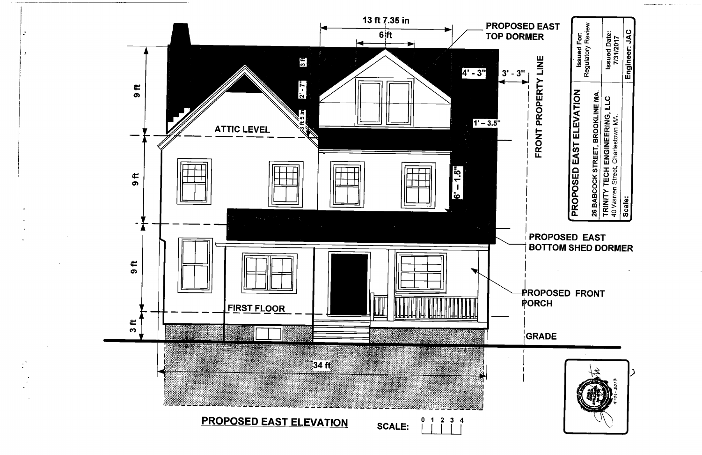

| <b>SED EAST</b><br><b>)RMER</b><br>3"           | Regulatory Review<br><b>Issued Date:</b><br><b>Issued For:</b><br>7/31/2017<br>PROPOSED EAST ELEVATION<br>26 BABCOCK STREET, BROOKLINE MA<br>TRINITY TECH ENGINEERING, LLC<br>40 Warren Street, Charlestown MA.<br>El<br>EAST<br>D<br>SHI<br>DOR.<br>E<br>М | Engineer: JAC |  |
|-------------------------------------------------|-------------------------------------------------------------------------------------------------------------------------------------------------------------------------------------------------------------------------------------------------------------|---------------|--|
| FRONT PROPERTY LINE<br>PROPOSI<br><b>BOTTOM</b> |                                                                                                                                                                                                                                                             |               |  |
|                                                 | Scale:<br>PROPOSED FRONT<br><b>GRADE</b><br>91 مارچ - اچ                                                                                                                                                                                                    |               |  |
| PORCH                                           |                                                                                                                                                                                                                                                             |               |  |
|                                                 |                                                                                                                                                                                                                                                             |               |  |
|                                                 |                                                                                                                                                                                                                                                             |               |  |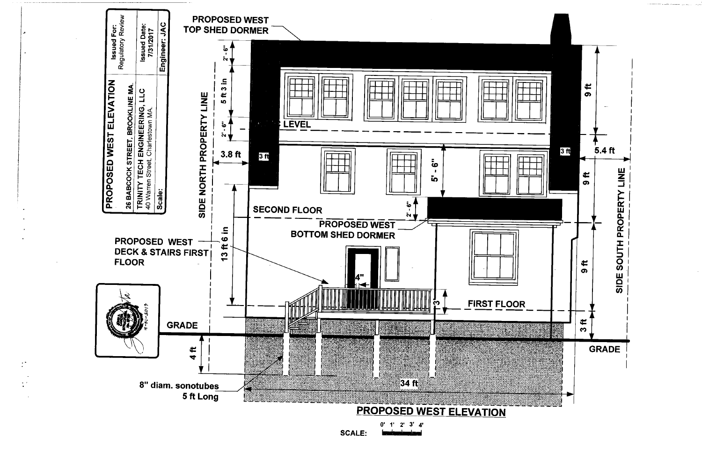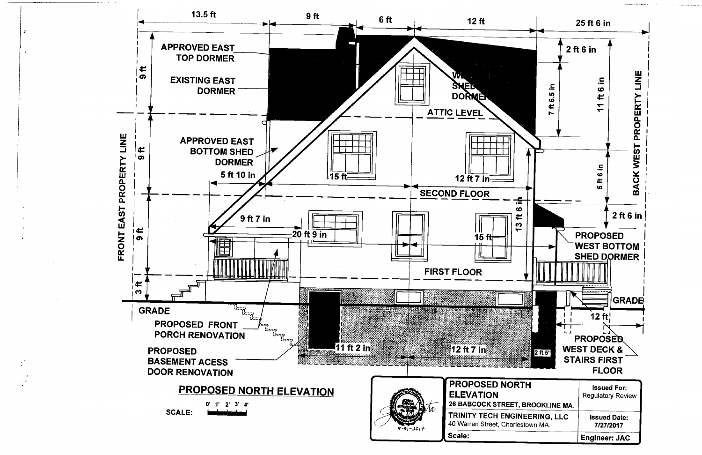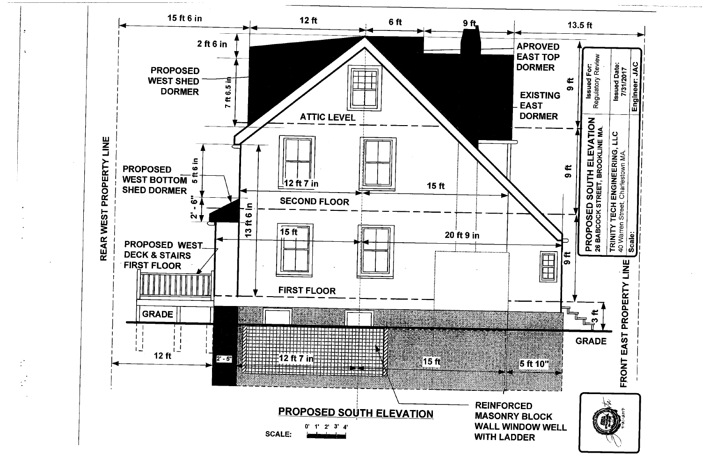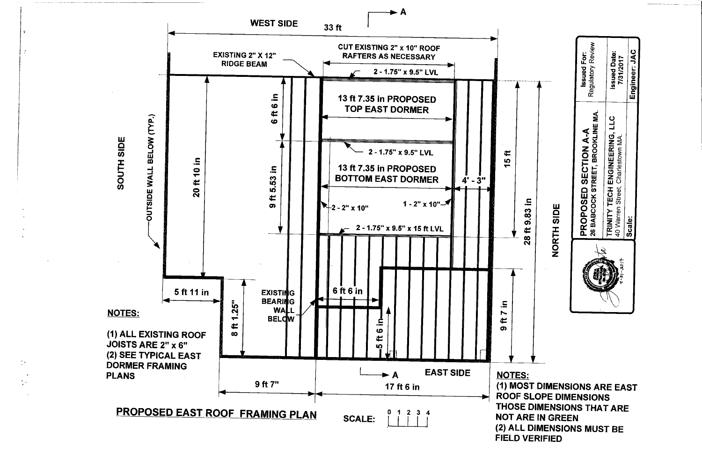

 $\frac{1}{2}$  k

(1) MOST DIMENSIONS ARE EAST **ROOF SLOPE DIMENSIONS** THOSE DIMENSIONS THAT ARE **NOT ARE IN GREEN** (2) ALL DIMENSIONS MUST BE **FIELD VERIFIED** 

**Issued For:**<br>Regulatory Review

**PROPOSED SECTION A-A**<br>26 BABCOCK STREET, BROOKLINE MA.

NORTH SIDE

Issued Date:<br>7/31/2017

TRINITY TECH ENGINEERING, LLC<br>40 Warren Street, Charlestown MA.

Scale:

Engineer: JAC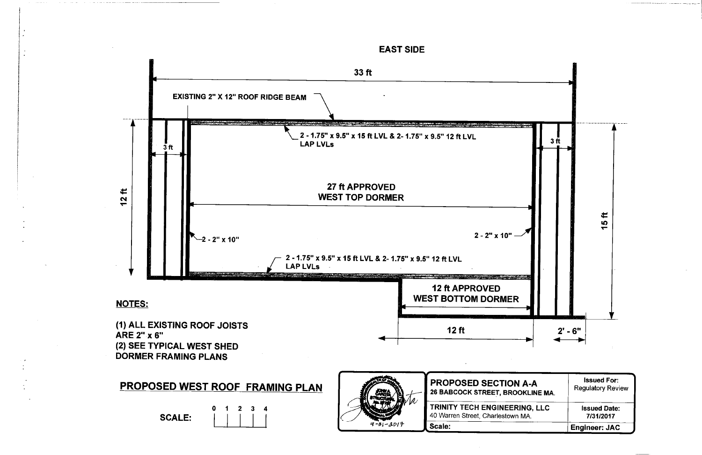

| N-A V<br>OKLINE MA. | <b>Issued For:</b><br><b>Regulatory Review</b> |
|---------------------|------------------------------------------------|
| RING, LLC           | <b>Issued Date:</b>                            |
| n MA.               | 7/31/2017                                      |
|                     | <b>Engineer: JAC</b>                           |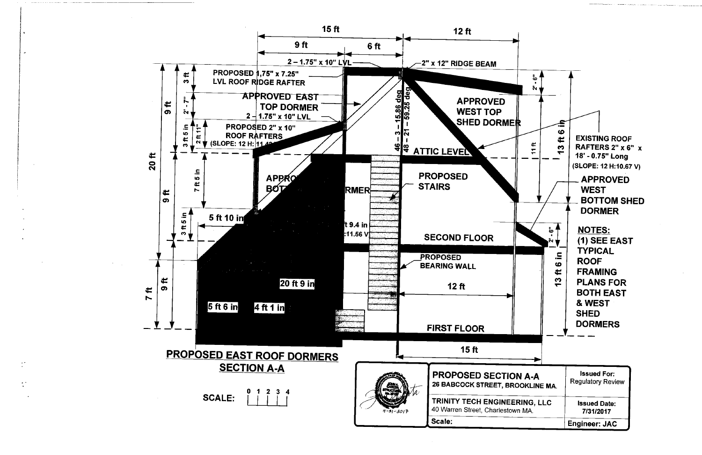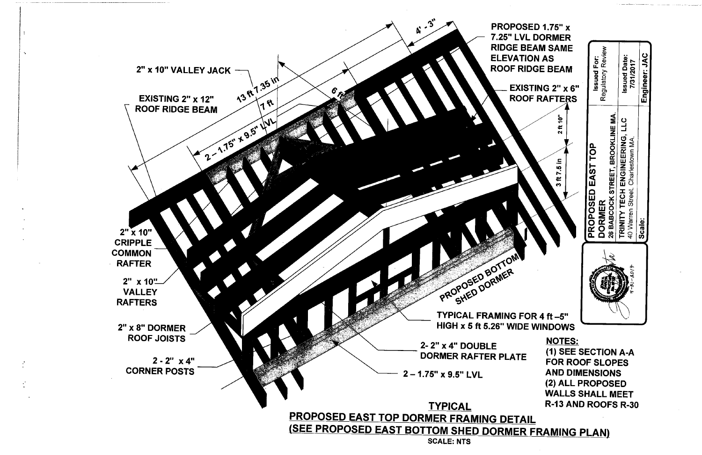

# ft 7.5 in **TECH** PROPOSED **DORMER** TRINITY **NOTES:** (1) SEE SECTION A-A **FOR ROOF SLOPES AND DIMENSIONS** (2) ALL PROPOSED **WALLS SHALL MEET** R-13 AND ROOFS R-30

 $\frac{1}{2}$ 

**Issued For:**<br>Regulatory Review **Issued Date:<br>7/31/2017** Engineer: JAC 26 BABCOCK STREET, BROOKLINE MA **CTT** I ENGINEERING, L<br>4. Charlestown MA. TOP EAST 40 Warren Street, iale:<br>Scale: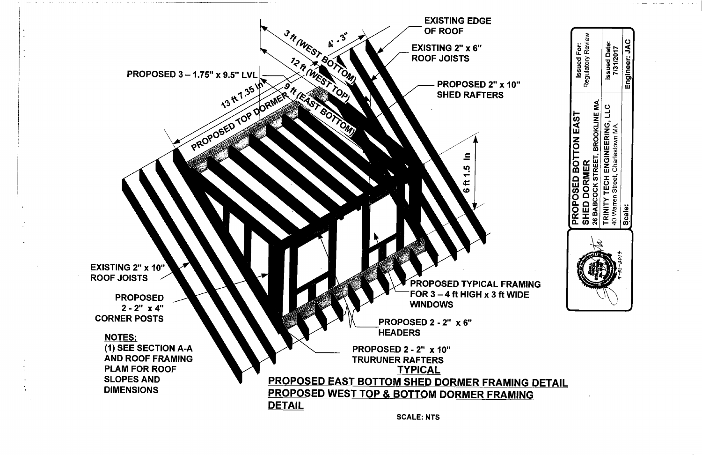

**SCALE: NTS** 

|     | <b>NG DETAIL</b> |  |
|-----|------------------|--|
| ING |                  |  |

|          | PROPOSED BOTTON EAST                 | <b>Issued For:</b>  |
|----------|--------------------------------------|---------------------|
|          | SHED DORMER                          | Regulatory Review   |
|          | 26 BABCOCK STREET, BROOKLINE MA.     |                     |
|          | <b>TRINITY TECH ENGINEERING, LLC</b> | <b>Issued Date:</b> |
| エージー・コンテ | 40 Warren Street, Charlestown MA.    | 7/31/2017           |
|          | Scale:                               | Engineer: JAC       |
|          |                                      |                     |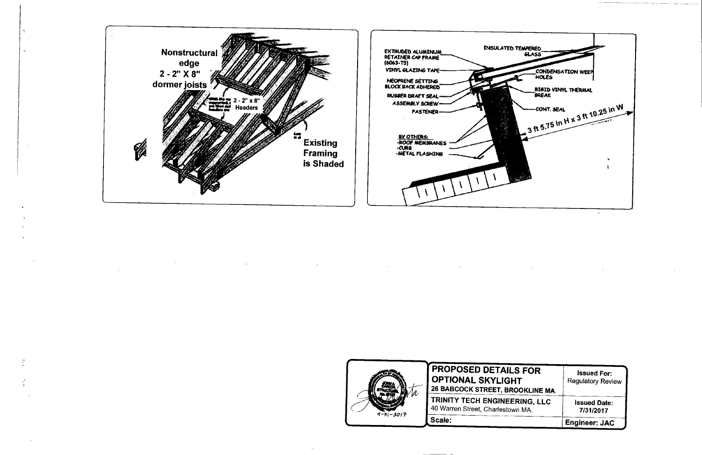

¥.



| <b>SFOR</b> | <b>Issued For:</b>       |
|-------------|--------------------------|
| т           | <b>Regulatory Review</b> |
| OKLINE MA.  |                          |
| RING, LLC   | <b>Issued Date:</b>      |
| n MA.       | 7/31/2017                |
|             | <b>Engineer: JAC</b>     |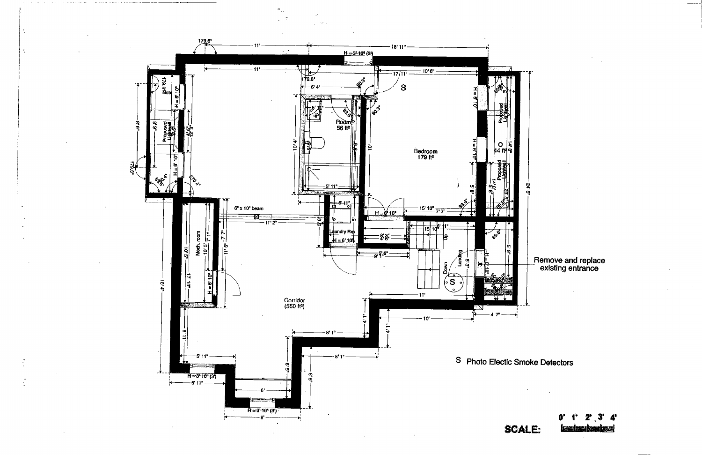

4' **KE KURIKA**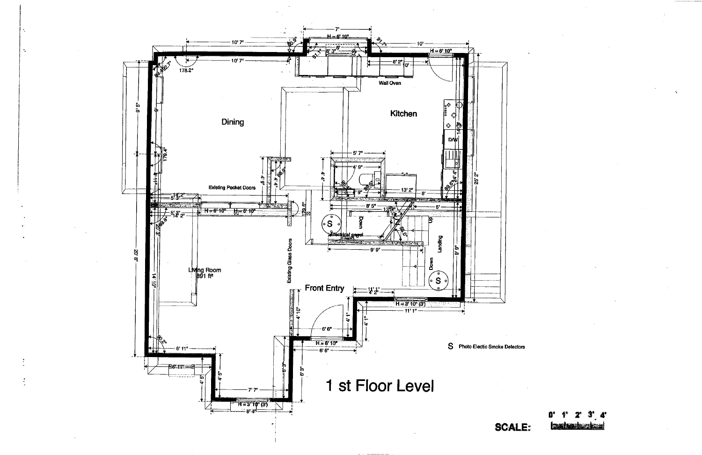

k.

**TAN REAL PROPERTY**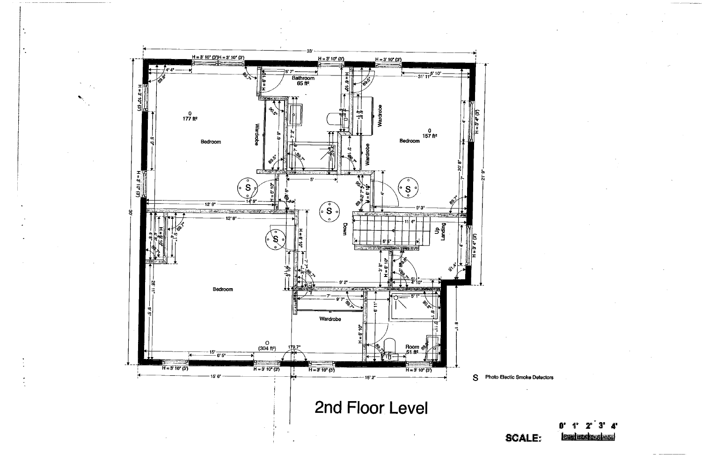

2nd Floor Level

<u>ieznicza sze</u>

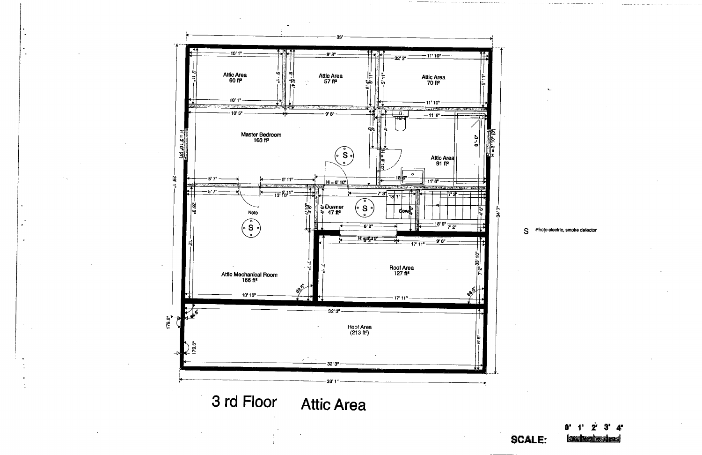

S Photo electric, smoke detector

生活性的医疗性

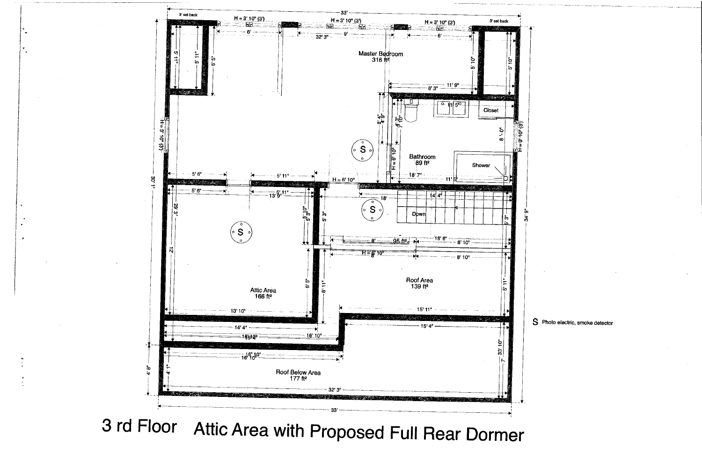

3 rd Floor Attic Area with Proposed Full Rear Dormer

S Photo electric, smoke detector

Ŕ